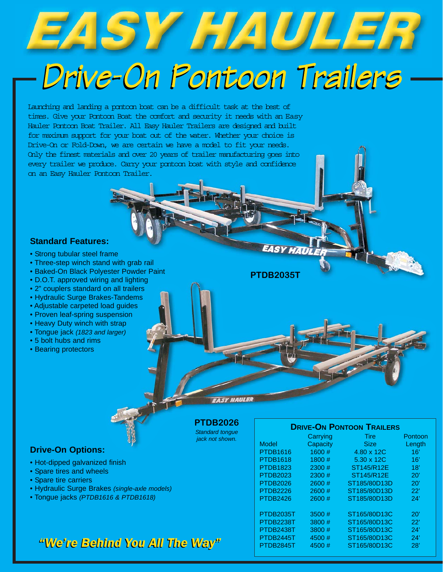# EASY HAULER

### *Drive-On Pontoon Trailers Drive-On Pontoon Trailers*

Launching and landing a pontoon boat can be a difficult task at the best of times. Give your Pontoon Boat the comfort and security it needs with an Easy Hauler Pontoon Boat Trailer. All Easy Hauler Trailers are designed and built for maximum support for your boat out of the water. Whether your choice is Drive-On or Fold-Down, we are certain we have a model to fit your needs. Only the finest materials and over 20 years of trailer manufacturing goes into every trailer we produce. Carry your pontoon boat with style and confidence on an Easy Hauler Pontoon Trailer.

### **Standard Features:**

- Strong tubular steel frame
- Three-step winch stand with grab rail
- Baked-On Black Polyester Powder Paint
- D.O.T. approved wiring and lighting
- 2" couplers standard on all trailers
- Hydraulic Surge Brakes-Tandems
- Adjustable carpeted load guides
- Proven leaf-spring suspension
- Heavy Duty winch with strap
- Tongue jack *(1823 and larger)*
- 5 bolt hubs and rims
- Bearing protectors

### **EASY HAULER**

**PTDB2035T**

**EASY HAUL** 

**PTDB2026** *Standard tongue*

*jack not shown.*

|  | <b>Drive-On Options:</b> |
|--|--------------------------|
|--|--------------------------|

- Hot-dipped galvanized finish
- Spare tires and wheels
- Spare tire carriers
- Hydraulic Surge Brakes *(single-axle models)*
- Tongue jacks *(PTDB1616 & PTDB1618)*

### *"We're Behind You All The Way" "We're Behind You All The Way"*

| <b>DRIVE-ON PONTOON TRAILERS</b> |          |              |         |  |  |
|----------------------------------|----------|--------------|---------|--|--|
|                                  | Carrying | Tire         | Pontoon |  |  |
| Model                            | Capacity | <b>Size</b>  | Length  |  |  |
| <b>PTDB1616</b>                  | 1600#    | 4.80 x 12C   | 16'     |  |  |
| <b>PTDB1618</b>                  | 1800#    | 5.30 x 12C   | 16'     |  |  |
| <b>PTDB1823</b>                  | 2300#    | ST145/R12E   | 18'     |  |  |
| <b>PTDB2023</b>                  | 2300#    | ST145/R12E   | 20'     |  |  |
| <b>PTDB2026</b>                  | 2600#    | ST185/80D13D | 20'     |  |  |
| <b>PTDB2226</b>                  | 2600#    | ST185/80D13D | 22'     |  |  |
| <b>PTDB2426</b>                  | 2600#    | ST185/80D13D | 24'     |  |  |
|                                  |          |              |         |  |  |
| PTDB2035T                        | 3500 #   | ST165/80D13C | 20'     |  |  |
| PTDB2238T                        | 3800 #   | ST165/80D13C | 22'     |  |  |
| PTDB2438T                        | 3800 #   | ST165/80D13C | 24'     |  |  |
| PTDB2445T                        | 4500#    | ST165/80D13C | 24'     |  |  |
| PTDB2845T                        | 4500#    | ST165/80D13C | 28'     |  |  |
|                                  |          |              |         |  |  |